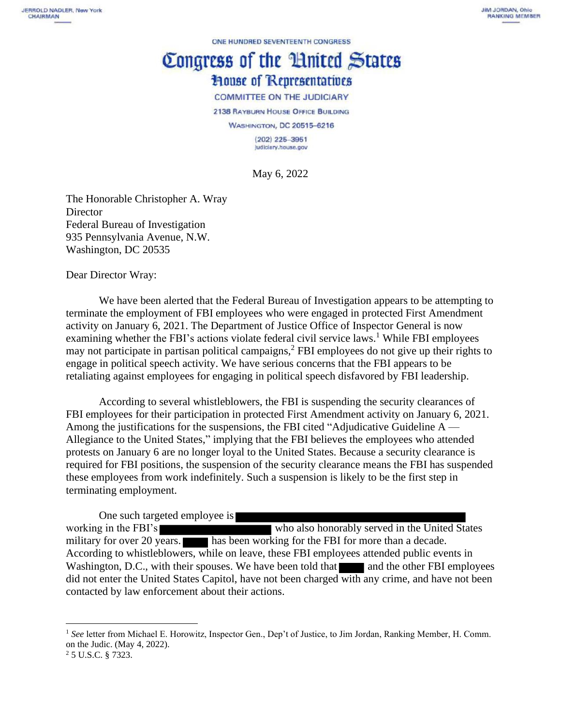ONE HUNDRED SEVENTEENTH CONGRESS

## Congress of the Huited States **House of Representatives**

**COMMITTEE ON THE JUDICIARY** 

2138 RAYBURN HOUSE OFFICE BUILDING

**WASHINGTON, DC 20515-6216** 

 $(202)$  225-3951 judiciary.house.gov

May 6, 2022

The Honorable Christopher A. Wray **Director** Federal Bureau of Investigation 935 Pennsylvania Avenue, N.W. Washington, DC 20535

Dear Director Wray:

We have been alerted that the Federal Bureau of Investigation appears to be attempting to terminate the employment of FBI employees who were engaged in protected First Amendment activity on January 6, 2021. The Department of Justice Office of Inspector General is now examining whether the FBI's actions violate federal civil service laws.<sup>1</sup> While FBI employees may not participate in partisan political campaigns,<sup>2</sup> FBI employees do not give up their rights to engage in political speech activity. We have serious concerns that the FBI appears to be retaliating against employees for engaging in political speech disfavored by FBI leadership.

According to several whistleblowers, the FBI is suspending the security clearances of FBI employees for their participation in protected First Amendment activity on January 6, 2021. Among the justifications for the suspensions, the FBI cited "Adjudicative Guideline  $A$  — Allegiance to the United States," implying that the FBI believes the employees who attended protests on January 6 are no longer loyal to the United States. Because a security clearance is required for FBI positions, the suspension of the security clearance means the FBI has suspended these employees from work indefinitely. Such a suspension is likely to be the first step in terminating employment.

One such targeted employee is working in the FBI's who also honorably served in the United States military for over 20 years. has been working for the FBI for more than a decade. According to whistleblowers, while on leave, these FBI employees attended public events in Washington, D.C., with their spouses. We have been told that and the other FBI employees did not enter the United States Capitol, have not been charged with any crime, and have not been contacted by law enforcement about their actions.

<sup>1</sup> *See* letter from Michael E. Horowitz, Inspector Gen., Dep't of Justice, to Jim Jordan, Ranking Member, H. Comm. on the Judic. (May 4, 2022).

<sup>2</sup> 5 U.S.C. § 7323.